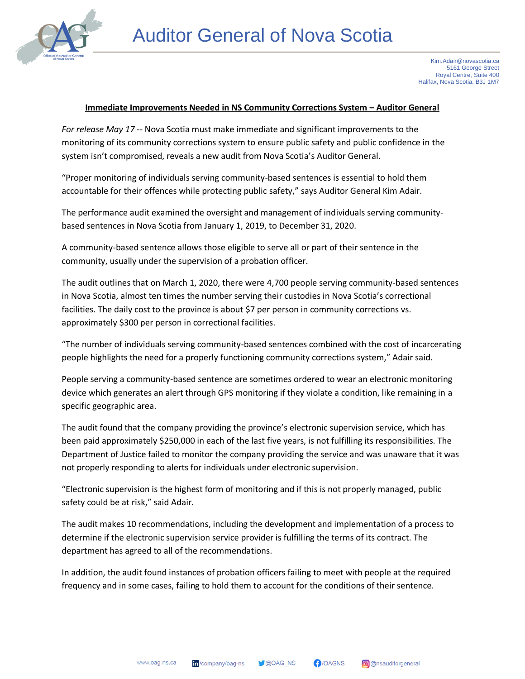

## **Immediate Improvements Needed in NS Community Corrections System – Auditor General**

*For release May 17* -- Nova Scotia must make immediate and significant improvements to the monitoring of its community corrections system to ensure public safety and public confidence in the system isn't compromised, reveals a new audit from Nova Scotia's Auditor General.

"Proper monitoring of individuals serving community-based sentences is essential to hold them accountable for their offences while protecting public safety," says Auditor General Kim Adair.

The performance audit examined the oversight and management of individuals serving communitybased sentences in Nova Scotia from January 1, 2019, to December 31, 2020.

A community-based sentence allows those eligible to serve all or part of their sentence in the community, usually under the supervision of a probation officer.

The audit outlines that on March 1, 2020, there were 4,700 people serving community-based sentences in Nova Scotia, almost ten times the number serving their custodies in Nova Scotia's correctional facilities. The daily cost to the province is about \$7 per person in community corrections vs. approximately \$300 per person in correctional facilities.

"The number of individuals serving community-based sentences combined with the cost of incarcerating people highlights the need for a properly functioning community corrections system," Adair said.

People serving a community-based sentence are sometimes ordered to wear an electronic monitoring device which generates an alert through GPS monitoring if they violate a condition, like remaining in a specific geographic area.

The audit found that the company providing the province's electronic supervision service, which has been paid approximately \$250,000 in each of the last five years, is not fulfilling its responsibilities. The Department of Justice failed to monitor the company providing the service and was unaware that it was not properly responding to alerts for individuals under electronic supervision.

"Electronic supervision is the highest form of monitoring and if this is not properly managed, public safety could be at risk," said Adair.

The audit makes 10 recommendations, including the development and implementation of a process to determine if the electronic supervision service provider is fulfilling the terms of its contract. The department has agreed to all of the recommendations.

In addition, the audit found instances of probation officers failing to meet with people at the required frequency and in some cases, failing to hold them to account for the conditions of their sentence.